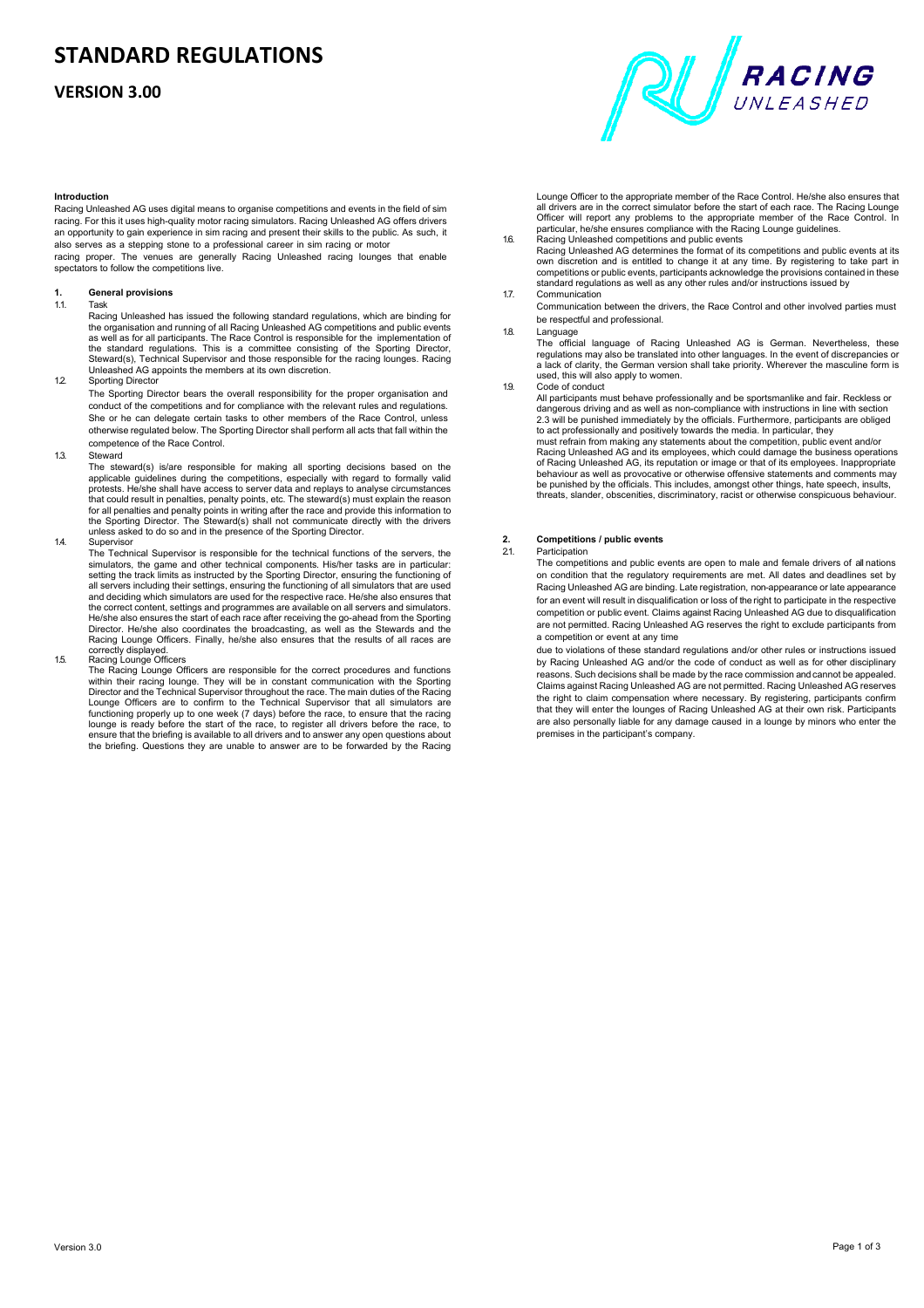## **STANDARD REGULATIONS**

## **VERSION 3.00**



Racing Unleashed AG uses digital means to organise competitions and events in the field of sim racing. For this it uses high-quality motor racing simulators. Racing Unleashed AG offers drivers an opportunity to gain experience in sim racing and present their skills to the public. As such, it also serves as a stepping stone to a professional career in sim racing or motor

racing proper. The venues are generally Racing Unleashed racing lounges that enable spectators to follow the competitions live.

## **1. General provisions**

1.1. Task<br>Racing Unleashed has issued the following standard regulations, which are binding for<br>Recording Unleashed AG competitions and public events<br>as well as for all participants. The Race Control is responsible for the Unleashed AG appoints the members at its own discretion.

1.2. Sporting Director

The Sporting Director bears the overall responsibility for the proper organisation and conduct of the competitions and for compliance with the relevant rules and regulations. She or he can delegate certain tasks to other members of the Race Control, unless otherwise regulated below. The Sporting Director shall perform all acts that fall within the competence of the Race Control.

1.3. Steward

The steward(s) is/are responsible for making all sporting decisions based on the applicable guidelines during the competitions, especially with regard to formally valid protests. He/she shall have access to server data and replays to analyse circumstances that could result in penalties, penalty points, etc. The steward(s) must explain the reason<br>for all penalties and penalty points in writing after the race and provide this information to<br>the Sporting Director. The Steward( unless asked to do so and in the presence of the Sporting Director

1.4. Supervisor

The Technical Supervisor is responsible for the technical functions of the servers, the simulators, the game and other technical components. His/her tasks are in particular:<br>setting the track limits as instructed by the Sporting Director, ensuring the functioning of<br>all servers including their settings, ensur He/she also ensures the start of each race after receiving the go-ahead from the Sporting Director. He/she also coordinates the broadcasting, as well as the Stewards and the Racing Lounge Officers. Finally, he/she also ensures that the results of all races are

## correctly displayed. 1.5. Racing Lounge Officers

The Racing Lounge Officers are responsible for the correct procedures and functions within their racing lounge. They will be in constant communication with the Sporting Director and the Technical Supervisor throughout the race. The main duties of the Racing Lounge Officers are to confirm to the Technical Supervisor that all simulators are functioning properly up to one week (7 days) before the race, to ensure that the racing lounge is ready before the start of the race, to register all drivers before the race, to ensure that the briefing is available to all drivers and to answer any open questions about the briefing. Questions they are unable to answer are to be forwarded by the Racing



Lounge Officer to the appropriate member of the Race Control. He/she also ensures that all drivers are in the correct simulator before the start of each race. The Racing Lounge Officer will report any problems to the appropriate member of the Race Control. In particular, he/she ensures compliance with the Racing Lounge guidelines.

- Racing Unleashed competitions and public events Racing Unleashed AG determines the format of its competitions and public events at its own discretion and is entitled to change it at any time. By registering to take part in competitions or public events, participants acknowledge the provisions contained in these standard regulations as well as any other rules and/or instructions issued by
- 1.7. Communication

Communication between the drivers, the Race Control and other involved parties must be respectful and professional.

#### 1.8. Language

The official language of Racing Unleashed AG is German. Nevertheless, these<br>regulations may also be translated into other languages. In the event of discrepancies or a lack of clarity, the German version shall take priority. Wherever the masculine form is used, this will also apply to women.

1.9. Code of conduct

All participants must behave professionally and be sportsmanlike and fair. Reckless or dangerous driving and as well as non-compliance with instructions in line with section 2.3 will be punished immediately by the officials. Furthermore, participants are obliged to act professionally and positively towards the media. In particular, they<br>must refrain from making any statements about the competition, public event and/or<br>Racing Unleashed AG and its employees, which could damage the b behaviour as well as provocative or otherwise offensive statements and comments may be punished by the officials. This includes, amongst other things, hate speech, insults, threats, slander, obscenities, discriminatory, racist or otherwise conspicuous behaviour.

## **2. Competitions / public events**

#### Participation

The competitions and public events are open to male and female drivers of all nations on condition that the regulatory requirements are met. All dates and deadlines set by Racing Unleashed AG are binding. Late registration, non-appearance or late appearance for an event will result in disqualification or loss of the right to participate in the respective competition or public event. Claims against Racing Unleashed AG due to disqualification are not permitted. Racing Unleashed AG reserves the right to exclude participants from a competition or event at any time

due to violations of these standard regulations and/or other rules or instructions issued by Racing Unleashed AG and/or the code of conduct as well as for other disciplinary reasons. Such decisions shall be made by the race commission and cannot be appealed. Claims against Racing Unleashed AG are not permitted. Racing Unleashed AG reserves the right to claim compensation where necessary. By registering, participants confirm that they will enter the lounges of Racing Unleashed AG at their own risk. Participants are also personally liable for any damage caused in a lounge by minors who enter the premises in the participant's company.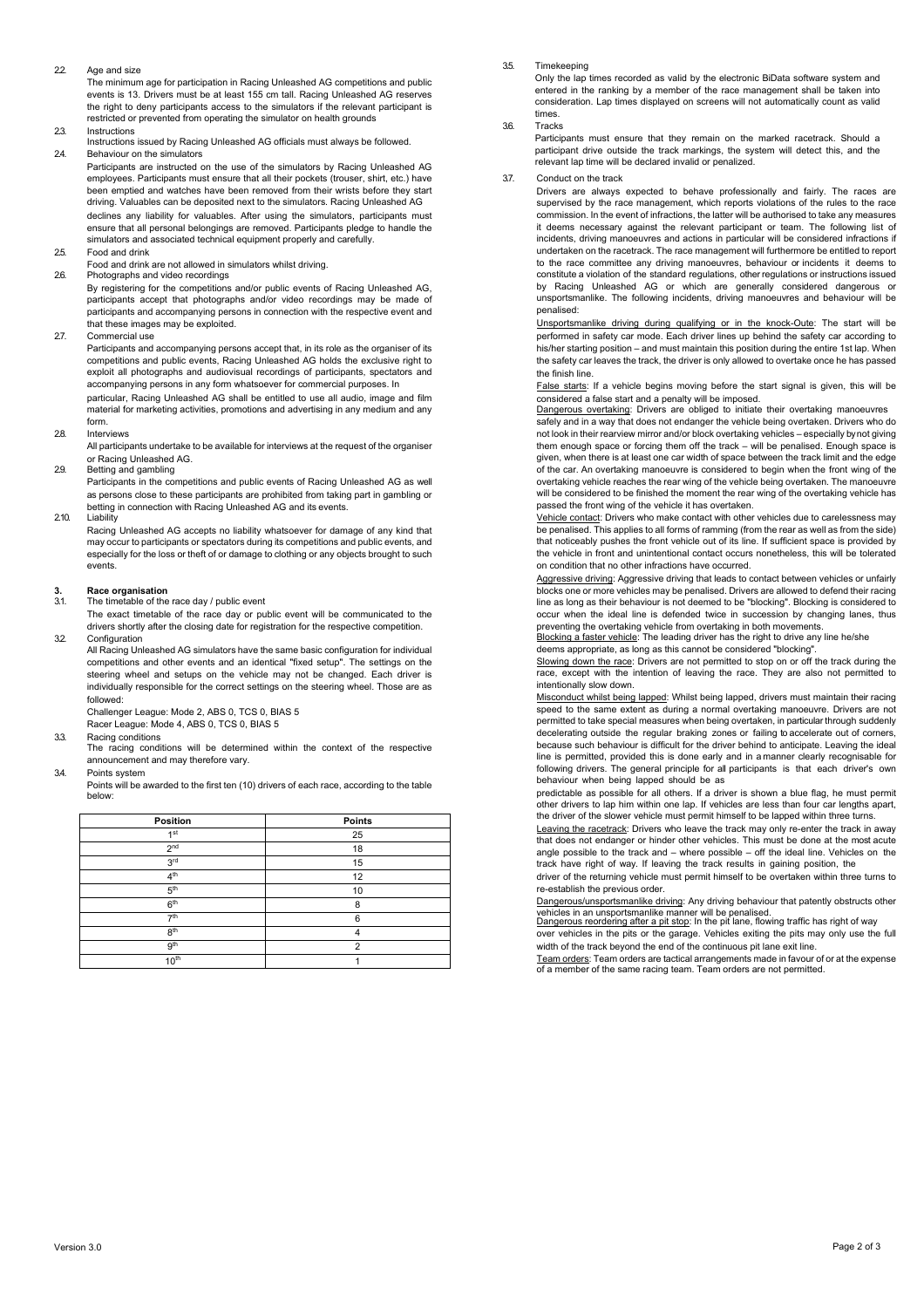22. Age and size

The minimum age for participation in Racing Unleashed AG competitions and public events is 13. Drivers must be at least 155 cm tall. Racing Unleashed AG reserves the right to deny participants access to the simulators if the relevant participant is restricted or prevented from operating the simulator on health grounds

2.3. Instructions

Instructions issued by Racing Unleashed AG officials must always be followed. 24. Behaviour on the simulators

Participants are instructed on the use of the simulators by Racing Unleashed AG employees. Participants must ensure that all their pockets (trouser, shirt, etc.) have been emptied and watches have been removed from their wrists before they start driving. Valuables can be deposited next to the simulators. Racing Unleashed AG declines any liability for valuables. After using the simulators, participants must ensure that all personal belongings are removed. Participants pledge to handle the simulators and associated technical equipment properly and carefully.

- 25. Food and drink
- Food and drink are not allowed in simulators whilst driving. 2.6. Photographs and video recordings

By registering for the competitions and/or public events of Racing Unleashed AG, participants accept that photographs and/or video recordings may be made of participants and accompanying persons in connection with the respective event and that these images may be exploited.

27. Commercial use

Participants and accompanying persons accept that, in its role as the organiser of its competitions and public events, Racing Unleashed AG holds the exclusive right to exploit all photographs and audiovisual recordings of participants, spectators and accompanying persons in any form whatsoever for commercial purposes. In particular, Racing Unleashed AG shall be entitled to use all audio, image and film material for marketing activities, promotions and advertising in any medium and any

form. 2.8. Interviews

All participants undertake to be available for interviews at the request of the organiser or Racing Unleashed AG.

2.9. Betting and gambling

Participants in the competitions and public events of Racing Unleashed AG as well as persons close to these participants are prohibited from taking part in gambling or betting in connection with Racing Unleashed AG and its events.

2.10. Liability

Racing Unleashed AG accepts no liability whatsoever for damage of any kind that may occur to participants or spectators during its competitions and public events, and especially for the loss or theft of or damage to clothing or any objects brought to such events.

## **3. Race organisation**

The timetable of the race day / public event

The exact timetable of the race day or public event will be communicated to the drivers shortly after the closing date for registration for the respective competition. 3.2. Configuration

All Racing Unleashed AG simulators have the same basic configuration for individual competitions and other events and an identical "fixed setup". The settings on the steering wheel and setups on the vehicle may not be changed. Each driver is individually responsible for the correct settings on the steering wheel. Those are as followed: Challenger League: Mode 2, ABS 0, TCS 0, BIAS 5

Racer League: Mode 4, ABS 0, TCS 0, BIAS 5

3.3. Racing conditions

- The racing conditions will be determined within the context of the respective announcement and may therefore vary.
- 3.4. Points system

Points will be awarded to the first ten (10) drivers of each race, according to the table below:

| Position         | Points |
|------------------|--------|
| 1 <sub>st</sub>  | 25     |
| 2 <sup>nd</sup>  | 18     |
| 3 <sup>rd</sup>  | 15     |
| 4 <sup>th</sup>  | 12     |
| 5 <sup>th</sup>  | 10     |
| 6 <sup>th</sup>  | 8      |
| 7 <sup>th</sup>  | 6      |
| 8 <sup>th</sup>  |        |
| 9 <sup>th</sup>  | 2      |
| 10 <sup>th</sup> |        |

#### 3.5. Timekeeping

Only the lap times recorded as valid by the electronic BiData software system and entered in the ranking by a member of the race management shall be taken into consideration. Lap times displayed on screens will not automatically count as valid times.

#### 3.6. Tracks

Participants must ensure that they remain on the marked racetrack. Should a participant drive outside the track markings, the system will detect this, and the relevant lap time will be declared invalid or penalized.

#### 3.7. Conduct on the track

Drivers are always expected to behave professionally and fairly. The races are supervised by the race management, which reports violations of the rules to the race commission. In the event of infractions, the latter will be authorised to take any measures it deems necessary against the relevant participant or team. The following list of incidents, driving manoeuvres and actions in particular will be considered infractions if undertaken on the racetrack. The race management will furthermore be entitled to report to the race committee any driving manoeuvres, behaviour or incidents it deems to constitute a violation of the standard regulations, other regulations or instructions issued by Racing Unleashed AG or which are generally considered dangerous or unsportsmanlike. The following incidents, driving manoeuvres and behaviour will be penalised:

Unsportsmanlike driving during qualifying or in the knock-Oute: The start will be performed in safety car mode. Each driver lines up behind the safety car according to his/her starting position – and must maintain this position during the entire 1st lap. When the safety car leaves the track, the driver is only allowed to overtake once he has passed the finish line.

False starts: If a vehicle begins moving before the start signal is given, this will be considered a false start and a penalty will be imposed.

Dangerous overtaking: Drivers are obliged to initiate their overtaking manoeuvres safely and in a way that does not endanger the vehicle being overtaken. Drivers who do not look in their rearview mirror and/or block overtaking vehicles – especially by not giving them enough space or forcing them off the track – will be penalised. Enough space is given, when there is at least one car width of space between the track limit and the edge of the car. An overtaking manoeuvre is considered to begin when the front wing of the overtaking vehicle reaches the rear wing of the vehicle being overtaken. The manoeuvre will be considered to be finished the moment the rear wing of the overtaking vehicle has passed the front wing of the vehicle it has overtaken.

Vehicle contact: Drivers who make contact with other vehicles due to carelessness may be penalised. This applies to all forms of ramming (from the rear as well as from the side) that noticeably pushes the front vehicle out of its line. If sufficient space is provided by the vehicle in front and unintentional contact occurs nonetheless, this will be tolerated on condition that no other infractions have occurred.

Aggressive driving: Aggressive driving that leads to contact between vehicles or unfairly blocks one or more vehicles may be penalised. Drivers are allowed to defend their racing line as long as their behaviour is not deemed to be "blocking". Blocking is considered to occur when the ideal line is defended twice in succession by changing lanes, thus preventing the overtaking vehicle from overtaking in both movements.<br><u>Blocking a faster vehicle</u>: The leading driver has the right to drive any line he/she

deems appropriate, as long as this cannot be considered "blocking".

Slowing down the race: Drivers are not permitted to stop on or off the track during the race, except with the intention of leaving the race. They are also not permitted to intentionally slow down.

Misconduct whilst being lapped: Whilst being lapped, drivers must maintain their racing speed to the same extent as during a normal overtaking manoeuvre. Drivers are not permitted to take special measures when being overtaken, in particular through suddenly decelerating outside the regular braking zones or failing to accelerate out of corners, because such behaviour is difficult for the driver behind to anticipate. Leaving the ideal line is permitted, provided this is done early and in a manner clearly recognisable for following drivers. The general principle for all participants is that each driver's own behaviour when being lapped should be as

predictable as possible for all others. If a driver is shown a blue flag, he must permit other drivers to lap him within one lap. If vehicles are less than four car lengths apart, the driver of the slower vehicle must permit himself to be lapped within three turns.

Leaving the racetrack: Drivers who leave the track may only re-enter the track in away that does not endanger or hinder other vehicles. This must be done at the most acute angle possible to the track and – where possible – off the ideal line. Vehicles on the track have right of way. If leaving the track results in gaining position, the

driver of the returning vehicle must permit himself to be overtaken within three turns to re-establish the previous order.

<u>Dangerous/unsportsmanlike driving</u>: Any driving behaviour that patently obstructs other<br>vehicles in an unsportsmanlike manner will be penalised.<br><u>Dangerous reordering after a pit stop</u>: In the pit lane, flowing traffic ha

over vehicles in the pits or the garage. Vehicles exiting the pits may only use the full width of the track beyond the end of the continuous pit lane exit line.

Team orders: Team orders are tactical arrangements made in favour of or at the expense of a member of the same racing team. Team orders are not permitted.